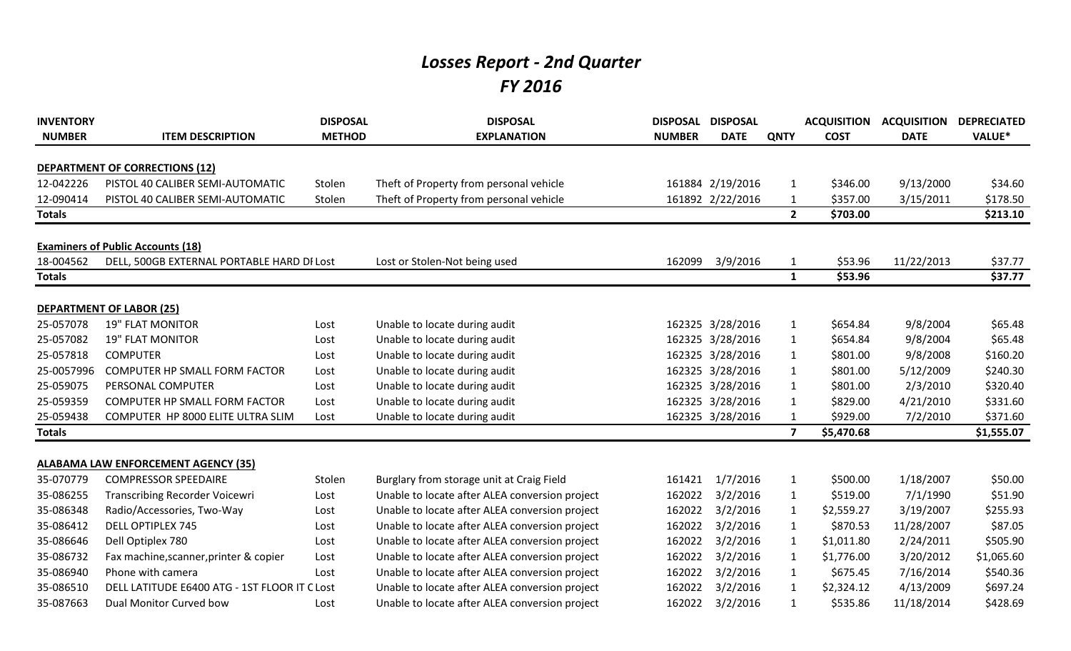## *Losses Report - 2nd Quarter FY 2016*

| <b>INVENTORY</b><br><b>NUMBER</b> | <b>ITEM DESCRIPTION</b>                      | <b>DISPOSAL</b><br><b>METHOD</b> | <b>DISPOSAL</b><br><b>EXPLANATION</b>          | DISPOSAL DISPOSAL<br><b>NUMBER</b> | <b>DATE</b>      | <b>QNTY</b>             | <b>ACQUISITION</b><br><b>COST</b> | <b>ACQUISITION</b><br><b>DATE</b> | <b>DEPRECIATED</b><br>VALUE* |
|-----------------------------------|----------------------------------------------|----------------------------------|------------------------------------------------|------------------------------------|------------------|-------------------------|-----------------------------------|-----------------------------------|------------------------------|
|                                   | <b>DEPARTMENT OF CORRECTIONS (12)</b>        |                                  |                                                |                                    |                  |                         |                                   |                                   |                              |
| 12-042226                         | PISTOL 40 CALIBER SEMI-AUTOMATIC             | Stolen                           | Theft of Property from personal vehicle        |                                    | 161884 2/19/2016 | $\mathbf{1}$            | \$346.00                          | 9/13/2000                         | \$34.60                      |
| 12-090414                         | PISTOL 40 CALIBER SEMI-AUTOMATIC             | Stolen                           | Theft of Property from personal vehicle        |                                    | 161892 2/22/2016 | 1                       | \$357.00                          | 3/15/2011                         | \$178.50                     |
| <b>Totals</b>                     |                                              |                                  |                                                |                                    |                  | $2^{\circ}$             | \$703.00                          |                                   | \$213.10                     |
|                                   | <b>Examiners of Public Accounts (18)</b>     |                                  |                                                |                                    |                  |                         |                                   |                                   |                              |
| 18-004562                         | DELL, 500GB EXTERNAL PORTABLE HARD DI Lost   |                                  | Lost or Stolen-Not being used                  | 162099                             | 3/9/2016         | $\mathbf{1}$            | \$53.96                           | 11/22/2013                        | \$37.77                      |
| <b>Totals</b>                     |                                              |                                  |                                                |                                    |                  | $\mathbf{1}$            | \$53.96                           |                                   | \$37.77                      |
|                                   | <b>DEPARTMENT OF LABOR (25)</b>              |                                  |                                                |                                    |                  |                         |                                   |                                   |                              |
| 25-057078                         | <b>19" FLAT MONITOR</b>                      | Lost                             | Unable to locate during audit                  |                                    | 162325 3/28/2016 | $\mathbf{1}$            | \$654.84                          | 9/8/2004                          | \$65.48                      |
| 25-057082                         | <b>19" FLAT MONITOR</b>                      | Lost                             | Unable to locate during audit                  |                                    | 162325 3/28/2016 | $\mathbf{1}$            | \$654.84                          | 9/8/2004                          | \$65.48                      |
| 25-057818                         | <b>COMPUTER</b>                              | Lost                             | Unable to locate during audit                  |                                    | 162325 3/28/2016 | $\mathbf{1}$            | \$801.00                          | 9/8/2008                          | \$160.20                     |
| 25-0057996                        | <b>COMPUTER HP SMALL FORM FACTOR</b>         | Lost                             | Unable to locate during audit                  |                                    | 162325 3/28/2016 | $\mathbf{1}$            | \$801.00                          | 5/12/2009                         | \$240.30                     |
| 25-059075                         | PERSONAL COMPUTER                            | Lost                             | Unable to locate during audit                  |                                    | 162325 3/28/2016 | $\mathbf{1}$            | \$801.00                          | 2/3/2010                          | \$320.40                     |
| 25-059359                         | <b>COMPUTER HP SMALL FORM FACTOR</b>         | Lost                             | Unable to locate during audit                  |                                    | 162325 3/28/2016 | $\mathbf{1}$            | \$829.00                          | 4/21/2010                         | \$331.60                     |
| 25-059438                         | COMPUTER HP 8000 ELITE ULTRA SLIM            | Lost                             | Unable to locate during audit                  |                                    | 162325 3/28/2016 | 1                       | \$929.00                          | 7/2/2010                          | \$371.60                     |
| <b>Totals</b>                     |                                              |                                  |                                                |                                    |                  | $\overline{\mathbf{z}}$ | \$5,470.68                        |                                   | \$1,555.07                   |
|                                   | <b>ALABAMA LAW ENFORCEMENT AGENCY (35)</b>   |                                  |                                                |                                    |                  |                         |                                   |                                   |                              |
| 35-070779                         | <b>COMPRESSOR SPEEDAIRE</b>                  | Stolen                           | Burglary from storage unit at Craig Field      | 161421                             | 1/7/2016         | $\mathbf{1}$            | \$500.00                          | 1/18/2007                         | \$50.00                      |
| 35-086255                         | <b>Transcribing Recorder Voicewri</b>        | Lost                             | Unable to locate after ALEA conversion project | 162022                             | 3/2/2016         | $\mathbf{1}$            | \$519.00                          | 7/1/1990                          | \$51.90                      |
| 35-086348                         | Radio/Accessories, Two-Way                   | Lost                             | Unable to locate after ALEA conversion project | 162022                             | 3/2/2016         | $\mathbf{1}$            | \$2,559.27                        | 3/19/2007                         | \$255.93                     |
| 35-086412                         | <b>DELL OPTIPLEX 745</b>                     | Lost                             | Unable to locate after ALEA conversion project | 162022                             | 3/2/2016         | $\mathbf{1}$            | \$870.53                          | 11/28/2007                        | \$87.05                      |
| 35-086646                         | Dell Optiplex 780                            | Lost                             | Unable to locate after ALEA conversion project | 162022                             | 3/2/2016         | 1                       | \$1,011.80                        | 2/24/2011                         | \$505.90                     |
| 35-086732                         | Fax machine, scanner, printer & copier       | Lost                             | Unable to locate after ALEA conversion project | 162022                             | 3/2/2016         | $\mathbf{1}$            | \$1,776.00                        | 3/20/2012                         | \$1,065.60                   |
| 35-086940                         | Phone with camera                            | Lost                             | Unable to locate after ALEA conversion project | 162022                             | 3/2/2016         | $\mathbf{1}$            | \$675.45                          | 7/16/2014                         | \$540.36                     |
| 35-086510                         | DELL LATITUDE E6400 ATG - 1ST FLOOR IT CLOST |                                  | Unable to locate after ALEA conversion project | 162022                             | 3/2/2016         | 1                       | \$2,324.12                        | 4/13/2009                         | \$697.24                     |
| 35-087663                         | Dual Monitor Curved bow                      |                                  | Unable to locate after ALEA conversion project | 162022                             | 3/2/2016         |                         | \$535.86                          | 11/18/2014                        | \$428.69                     |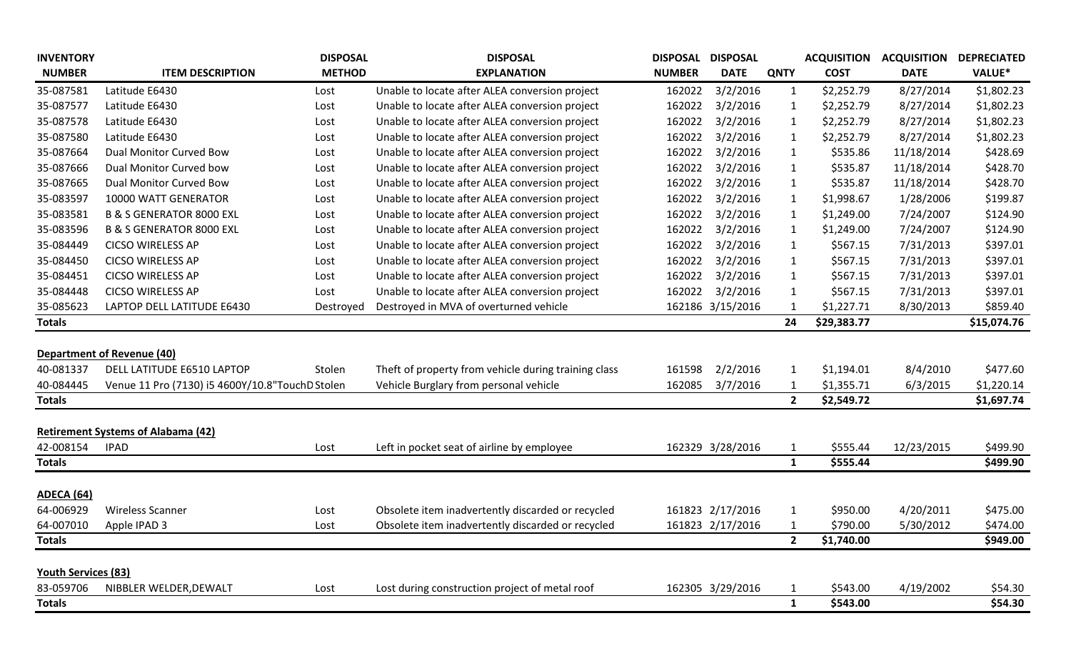| <b>INVENTORY</b>           |                                                 | <b>DISPOSAL</b> | <b>DISPOSAL</b>                                      | <b>DISPOSAL</b> | <b>DISPOSAL</b>  |              | <b>ACQUISITION</b> | <b>ACQUISITION DEPRECIATED</b> |               |
|----------------------------|-------------------------------------------------|-----------------|------------------------------------------------------|-----------------|------------------|--------------|--------------------|--------------------------------|---------------|
| <b>NUMBER</b>              | <b>ITEM DESCRIPTION</b>                         | <b>METHOD</b>   | <b>EXPLANATION</b>                                   | <b>NUMBER</b>   | <b>DATE</b>      | <b>QNTY</b>  | <b>COST</b>        | <b>DATE</b>                    | <b>VALUE*</b> |
| 35-087581                  | Latitude E6430                                  | Lost            | Unable to locate after ALEA conversion project       | 162022          | 3/2/2016         | 1            | \$2,252.79         | 8/27/2014                      | \$1,802.23    |
| 35-087577                  | Latitude E6430                                  | Lost            | Unable to locate after ALEA conversion project       | 162022          | 3/2/2016         | 1            | \$2,252.79         | 8/27/2014                      | \$1,802.23    |
| 35-087578                  | Latitude E6430                                  | Lost            | Unable to locate after ALEA conversion project       | 162022          | 3/2/2016         | 1            | \$2,252.79         | 8/27/2014                      | \$1,802.23    |
| 35-087580                  | Latitude E6430                                  | Lost            | Unable to locate after ALEA conversion project       | 162022          | 3/2/2016         | 1            | \$2,252.79         | 8/27/2014                      | \$1,802.23    |
| 35-087664                  | Dual Monitor Curved Bow                         | Lost            | Unable to locate after ALEA conversion project       | 162022          | 3/2/2016         | 1            | \$535.86           | 11/18/2014                     | \$428.69      |
| 35-087666                  | Dual Monitor Curved bow                         | Lost            | Unable to locate after ALEA conversion project       | 162022          | 3/2/2016         | 1            | \$535.87           | 11/18/2014                     | \$428.70      |
| 35-087665                  | Dual Monitor Curved Bow                         | Lost            | Unable to locate after ALEA conversion project       | 162022          | 3/2/2016         | 1            | \$535.87           | 11/18/2014                     | \$428.70      |
| 35-083597                  | 10000 WATT GENERATOR                            | Lost            | Unable to locate after ALEA conversion project       | 162022          | 3/2/2016         | 1            | \$1,998.67         | 1/28/2006                      | \$199.87      |
| 35-083581                  | <b>B &amp; S GENERATOR 8000 EXL</b>             | Lost            | Unable to locate after ALEA conversion project       | 162022          | 3/2/2016         | 1            | \$1,249.00         | 7/24/2007                      | \$124.90      |
| 35-083596                  | <b>B &amp; S GENERATOR 8000 EXL</b>             | Lost            | Unable to locate after ALEA conversion project       | 162022          | 3/2/2016         | 1            | \$1,249.00         | 7/24/2007                      | \$124.90      |
| 35-084449                  | <b>CICSO WIRELESS AP</b>                        | Lost            | Unable to locate after ALEA conversion project       | 162022          | 3/2/2016         | 1            | \$567.15           | 7/31/2013                      | \$397.01      |
| 35-084450                  | <b>CICSO WIRELESS AP</b>                        | Lost            | Unable to locate after ALEA conversion project       | 162022          | 3/2/2016         | 1            | \$567.15           | 7/31/2013                      | \$397.01      |
| 35-084451                  | <b>CICSO WIRELESS AP</b>                        | Lost            | Unable to locate after ALEA conversion project       | 162022          | 3/2/2016         | $\mathbf{1}$ | \$567.15           | 7/31/2013                      | \$397.01      |
| 35-084448                  | <b>CICSO WIRELESS AP</b>                        | Lost            | Unable to locate after ALEA conversion project       | 162022          | 3/2/2016         | 1            | \$567.15           | 7/31/2013                      | \$397.01      |
| 35-085623                  | LAPTOP DELL LATITUDE E6430                      | Destroyed       | Destroyed in MVA of overturned vehicle               |                 | 162186 3/15/2016 |              | \$1,227.71         | 8/30/2013                      | \$859.40      |
| <b>Totals</b>              |                                                 |                 |                                                      |                 |                  | 24           | \$29,383.77        |                                | \$15,074.76   |
|                            |                                                 |                 |                                                      |                 |                  |              |                    |                                |               |
|                            | <b>Department of Revenue (40)</b>               |                 |                                                      |                 |                  |              |                    |                                |               |
| 40-081337                  | DELL LATITUDE E6510 LAPTOP                      | Stolen          | Theft of property from vehicle during training class | 161598          | 2/2/2016         | 1            | \$1,194.01         | 8/4/2010                       | \$477.60      |
| 40-084445                  | Venue 11 Pro (7130) i5 4600Y/10.8"TouchD Stolen |                 | Vehicle Burglary from personal vehicle               | 162085          | 3/7/2016         | 1            | \$1,355.71         | 6/3/2015                       | \$1,220.14    |
| <b>Totals</b>              |                                                 |                 |                                                      |                 |                  | $\mathbf{2}$ | \$2,549.72         |                                | \$1,697.74    |
|                            |                                                 |                 |                                                      |                 |                  |              |                    |                                |               |
|                            | <b>Retirement Systems of Alabama (42)</b>       |                 |                                                      |                 |                  |              |                    |                                |               |
| 42-008154                  | <b>IPAD</b>                                     | Lost            | Left in pocket seat of airline by employee           |                 | 162329 3/28/2016 | 1            | \$555.44           | 12/23/2015                     | \$499.90      |
| <b>Totals</b>              |                                                 |                 |                                                      |                 |                  | $\mathbf{1}$ | \$555.44           |                                | \$499.90      |
|                            |                                                 |                 |                                                      |                 |                  |              |                    |                                |               |
| <b>ADECA (64)</b>          |                                                 |                 |                                                      |                 |                  |              |                    |                                |               |
| 64-006929                  | <b>Wireless Scanner</b>                         | Lost            | Obsolete item inadvertently discarded or recycled    |                 | 161823 2/17/2016 |              | \$950.00           | 4/20/2011                      | \$475.00      |
| 64-007010                  | Apple IPAD 3                                    | Lost            | Obsolete item inadvertently discarded or recycled    |                 | 161823 2/17/2016 |              | \$790.00           | 5/30/2012                      | \$474.00      |
| <b>Totals</b>              |                                                 |                 |                                                      |                 |                  | $\mathbf{2}$ | \$1,740.00         |                                | \$949.00      |
| <b>Youth Services (83)</b> |                                                 |                 |                                                      |                 |                  |              |                    |                                |               |
| 83-059706                  | NIBBLER WELDER, DEWALT                          | Lost            | Lost during construction project of metal roof       |                 | 162305 3/29/2016 |              | \$543.00           | 4/19/2002                      | \$54.30       |
| <b>Totals</b>              |                                                 |                 |                                                      |                 |                  | 1            | \$543.00           |                                | \$54.30       |
|                            |                                                 |                 |                                                      |                 |                  |              |                    |                                |               |